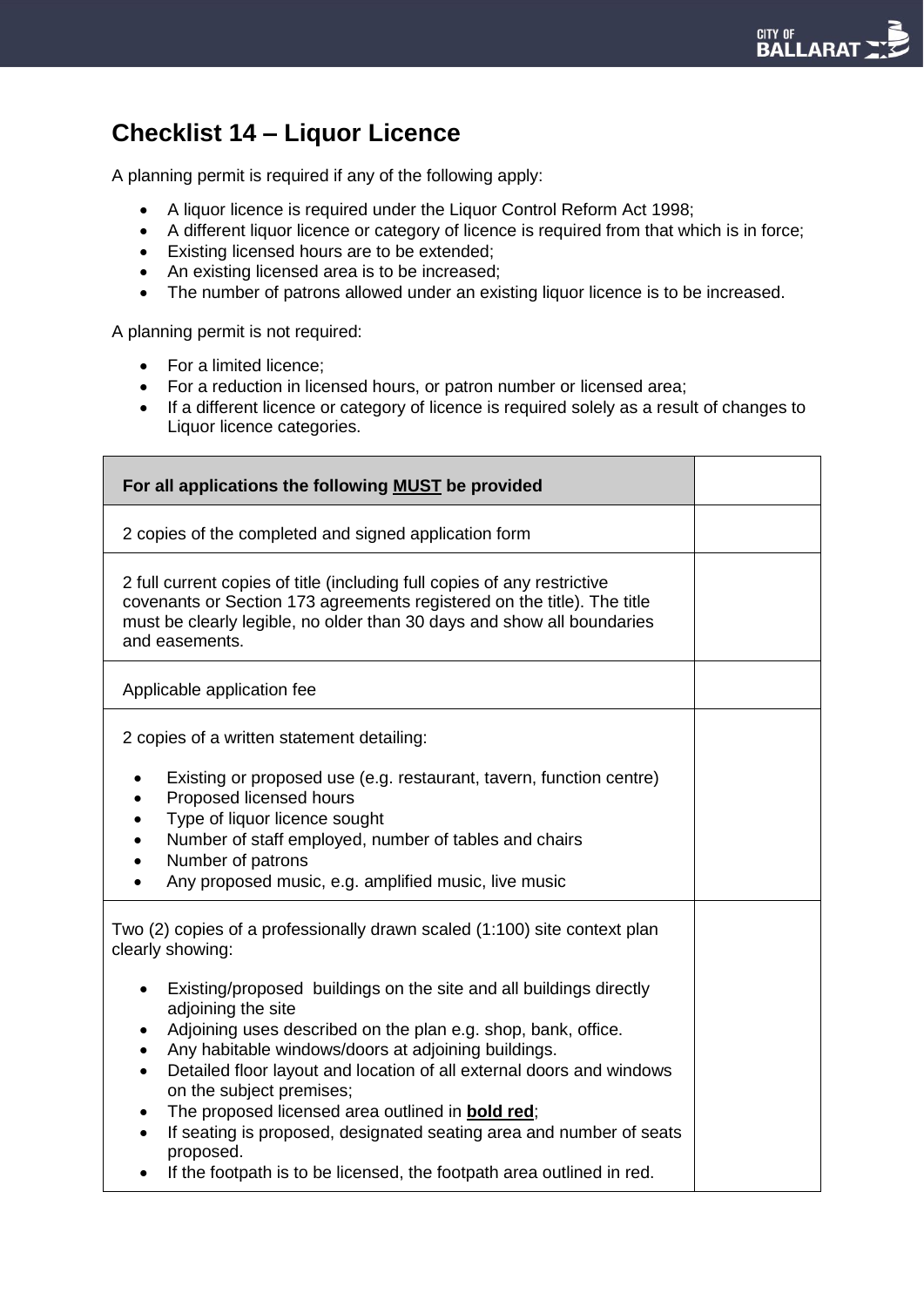## **Checklist 14 – Liquor Licence**

A planning permit is required if any of the following apply:

- A liquor licence is required under the Liquor Control Reform Act 1998;
- A different liquor licence or category of licence is required from that which is in force;
- Existing licensed hours are to be extended;
- An existing licensed area is to be increased;
- The number of patrons allowed under an existing liquor licence is to be increased.

A planning permit is not required:

- For a limited licence:
- For a reduction in licensed hours, or patron number or licensed area;
- If a different licence or category of licence is required solely as a result of changes to Liquor licence categories.

| For all applications the following MUST be provided                                                                                                                                                                                                                                                                                                                                                                                                                                                                                                                                               |  |
|---------------------------------------------------------------------------------------------------------------------------------------------------------------------------------------------------------------------------------------------------------------------------------------------------------------------------------------------------------------------------------------------------------------------------------------------------------------------------------------------------------------------------------------------------------------------------------------------------|--|
| 2 copies of the completed and signed application form                                                                                                                                                                                                                                                                                                                                                                                                                                                                                                                                             |  |
| 2 full current copies of title (including full copies of any restrictive<br>covenants or Section 173 agreements registered on the title). The title<br>must be clearly legible, no older than 30 days and show all boundaries<br>and easements.                                                                                                                                                                                                                                                                                                                                                   |  |
| Applicable application fee                                                                                                                                                                                                                                                                                                                                                                                                                                                                                                                                                                        |  |
| 2 copies of a written statement detailing:                                                                                                                                                                                                                                                                                                                                                                                                                                                                                                                                                        |  |
| Existing or proposed use (e.g. restaurant, tavern, function centre)<br>$\bullet$<br>Proposed licensed hours<br>Type of liquor licence sought<br>٠<br>Number of staff employed, number of tables and chairs<br>Number of patrons<br>$\bullet$<br>Any proposed music, e.g. amplified music, live music                                                                                                                                                                                                                                                                                              |  |
| Two (2) copies of a professionally drawn scaled (1:100) site context plan<br>clearly showing:                                                                                                                                                                                                                                                                                                                                                                                                                                                                                                     |  |
| Existing/proposed buildings on the site and all buildings directly<br>$\bullet$<br>adjoining the site<br>Adjoining uses described on the plan e.g. shop, bank, office.<br>Any habitable windows/doors at adjoining buildings.<br>Detailed floor layout and location of all external doors and windows<br>$\bullet$<br>on the subject premises;<br>The proposed licensed area outlined in <b>bold red</b> ;<br>$\bullet$<br>If seating is proposed, designated seating area and number of seats<br>$\bullet$<br>proposed.<br>If the footpath is to be licensed, the footpath area outlined in red. |  |